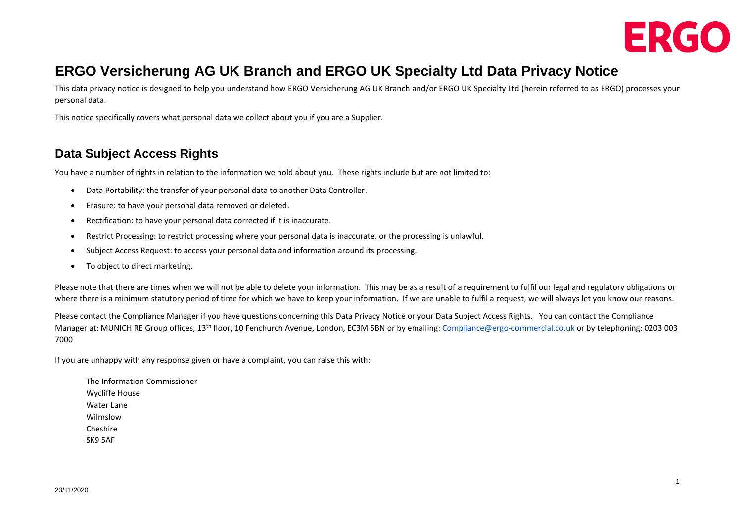

## **ERGO Versicherung AG UK Branch and ERGO UK Specialty Ltd Data Privacy Notice**

This data privacy notice is designed to help you understand how ERGO Versicherung AG UK Branch and/or ERGO UK Specialty Ltd (herein referred to as ERGO) processes your personal data.

This notice specifically covers what personal data we collect about you if you are a Supplier.

#### **Data Subject Access Rights**

You have a number of rights in relation to the information we hold about you. These rights include but are not limited to:

- Data Portability: the transfer of your personal data to another Data Controller.
- Erasure: to have your personal data removed or deleted.
- Rectification: to have your personal data corrected if it is inaccurate.
- Restrict Processing: to restrict processing where your personal data is inaccurate, or the processing is unlawful.
- Subject Access Request: to access your personal data and information around its processing.
- To object to direct marketing.

Please note that there are times when we will not be able to delete your information. This may be as a result of a requirement to fulfil our legal and regulatory obligations or where there is a minimum statutory period of time for which we have to keep your information. If we are unable to fulfil a request, we will always let you know our reasons.

Please contact the Compliance Manager if you have questions concerning this Data Privacy Notice or your Data Subject Access Rights. You can contact the Compliance Manager at: MUNICH RE Group offices, 13<sup>th</sup> floor, 10 Fenchurch Avenue, London, EC3M 5BN or by emailing: [Compliance@ergo-commercial.co.uk](mailto:Compliance@ergo-commercial.co.uk) or by telephoning: 0203 003 7000

If you are unhappy with any response given or have a complaint, you can raise this with:

The Information Commissioner Wycliffe House Water Lane Wilmslow Cheshire SK9 5AF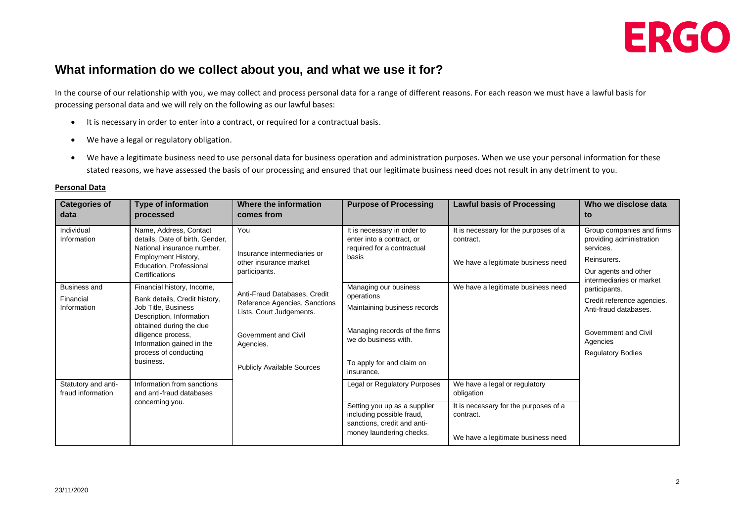

#### **What information do we collect about you, and what we use it for?**

In the course of our relationship with you, we may collect and process personal data for a range of different reasons. For each reason we must have a lawful basis for processing personal data and we will rely on the following as our lawful bases:

- It is necessary in order to enter into a contract, or required for a contractual basis.
- We have a legal or regulatory obligation.
- We have a legitimate business need to use personal data for business operation and administration purposes. When we use your personal information for these stated reasons, we have assessed the basis of our processing and ensured that our legitimate business need does not result in any detriment to you.

| <b>Categories of</b><br>data             | <b>Type of information</b><br>processed                                                                                                                                                              | Where the information<br>comes from                                                       | <b>Purpose of Processing</b>                                                                                         | <b>Lawful basis of Processing</b>                                                        | Who we disclose data<br>to                                           |
|------------------------------------------|------------------------------------------------------------------------------------------------------------------------------------------------------------------------------------------------------|-------------------------------------------------------------------------------------------|----------------------------------------------------------------------------------------------------------------------|------------------------------------------------------------------------------------------|----------------------------------------------------------------------|
| Individual<br>Information                | Name, Address, Contact<br>details, Date of birth, Gender,<br>National insurance number.<br>Employment History,<br>Education, Professional<br>Certifications                                          | You<br>Insurance intermediaries or<br>other insurance market<br>participants.             | It is necessary in order to<br>enter into a contract, or<br>required for a contractual<br>basis                      | It is necessary for the purposes of a<br>contract.                                       | Group companies and firms<br>providing administration<br>services.   |
|                                          |                                                                                                                                                                                                      |                                                                                           |                                                                                                                      | We have a legitimate business need                                                       | Reinsurers.<br>Our agents and other<br>intermediaries or market      |
| <b>Business and</b>                      | Financial history, Income,                                                                                                                                                                           | Anti-Fraud Databases, Credit<br>Reference Agencies, Sanctions<br>Lists, Court Judgements. | Managing our business                                                                                                | We have a legitimate business need                                                       | participants.<br>Credit reference agencies.<br>Anti-fraud databases. |
| Financial<br>Information                 | Bank details, Credit history,<br>Job Title, Business<br>Description, Information<br>obtained during the due<br>diligence process,<br>Information gained in the<br>process of conducting<br>business. |                                                                                           | operations<br>Maintaining business records                                                                           |                                                                                          |                                                                      |
|                                          |                                                                                                                                                                                                      | Government and Civil<br>Agencies.                                                         | Managing records of the firms<br>we do business with.                                                                |                                                                                          | Government and Civil<br>Agencies                                     |
|                                          |                                                                                                                                                                                                      | <b>Publicly Available Sources</b>                                                         | To apply for and claim on<br>insurance.                                                                              |                                                                                          | <b>Regulatory Bodies</b>                                             |
| Statutory and anti-<br>fraud information | Information from sanctions<br>and anti-fraud databases<br>concerning you.                                                                                                                            |                                                                                           | Legal or Regulatory Purposes                                                                                         | We have a legal or regulatory<br>obligation                                              |                                                                      |
|                                          |                                                                                                                                                                                                      |                                                                                           | Setting you up as a supplier<br>including possible fraud,<br>sanctions, credit and anti-<br>money laundering checks. | It is necessary for the purposes of a<br>contract.<br>We have a legitimate business need |                                                                      |

#### **Personal Data**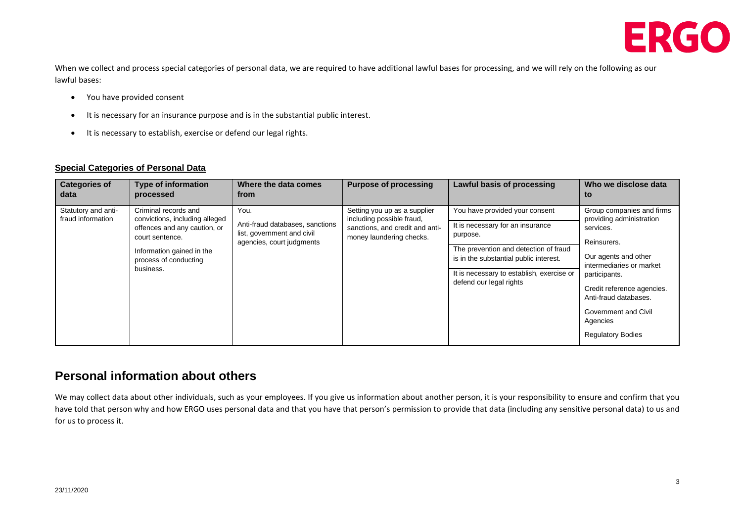

When we collect and process special categories of personal data, we are required to have additional lawful bases for processing, and we will rely on the following as our lawful bases:

- You have provided consent
- It is necessary for an insurance purpose and is in the substantial public interest.
- It is necessary to establish, exercise or defend our legal rights.

#### **Special Categories of Personal Data**

| <b>Categories of</b><br>data             | <b>Type of information</b><br>processed                                                                                                                                      | Where the data comes<br>from                                                                       | <b>Purpose of processing</b>                                                                                             | <b>Lawful basis of processing</b>                                                                                                                                                                                                         | Who we disclose data<br>to                                                                                                                                                                                                                                                           |
|------------------------------------------|------------------------------------------------------------------------------------------------------------------------------------------------------------------------------|----------------------------------------------------------------------------------------------------|--------------------------------------------------------------------------------------------------------------------------|-------------------------------------------------------------------------------------------------------------------------------------------------------------------------------------------------------------------------------------------|--------------------------------------------------------------------------------------------------------------------------------------------------------------------------------------------------------------------------------------------------------------------------------------|
| Statutory and anti-<br>fraud information | Criminal records and<br>convictions, including alleged<br>offences and any caution, or<br>court sentence.<br>Information gained in the<br>process of conducting<br>business. | You.<br>Anti-fraud databases, sanctions<br>list, government and civil<br>agencies, court judgments | Setting you up as a supplier<br>including possible fraud,<br>sanctions, and credit and anti-<br>money laundering checks. | You have provided your consent<br>It is necessary for an insurance<br>purpose.<br>The prevention and detection of fraud<br>is in the substantial public interest.<br>It is necessary to establish, exercise or<br>defend our legal rights | Group companies and firms<br>providing administration<br>services.<br>Reinsurers.<br>Our agents and other<br>intermediaries or market<br>participants.<br>Credit reference agencies.<br>Anti-fraud databases.<br><b>Government and Civil</b><br>Agencies<br><b>Regulatory Bodies</b> |

#### **Personal information about others**

We may collect data about other individuals, such as your employees. If you give us information about another person, it is your responsibility to ensure and confirm that you have told that person why and how ERGO uses personal data and that you have that person's permission to provide that data (including any sensitive personal data) to us and for us to process it.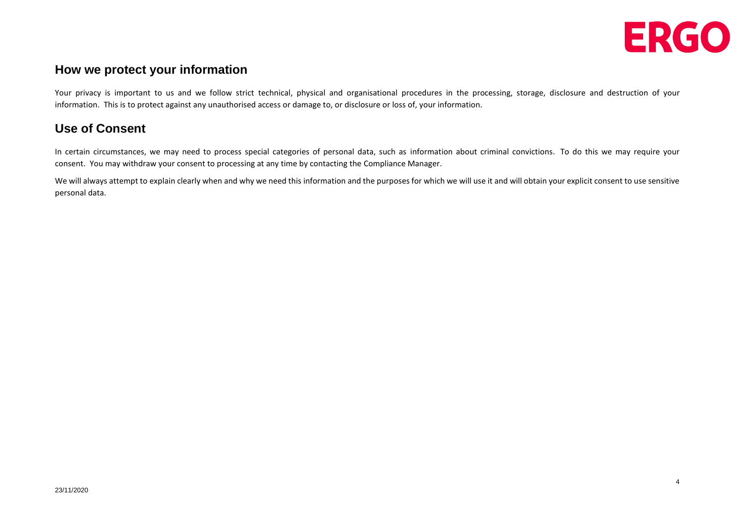

4

#### **How we protect your information**

Your privacy is important to us and we follow strict technical, physical and organisational procedures in the processing, storage, disclosure and destruction of your information. This is to protect against any unauthorised access or damage to, or disclosure or loss of, your information.

## **Use of Consent**

In certain circumstances, we may need to process special categories of personal data, such as information about criminal convictions. To do this we may require your consent. You may withdraw your consent to processing at any time by contacting the Compliance Manager.

We will always attempt to explain clearly when and why we need this information and the purposes for which we will use it and will obtain your explicit consent to use sensitive personal data.